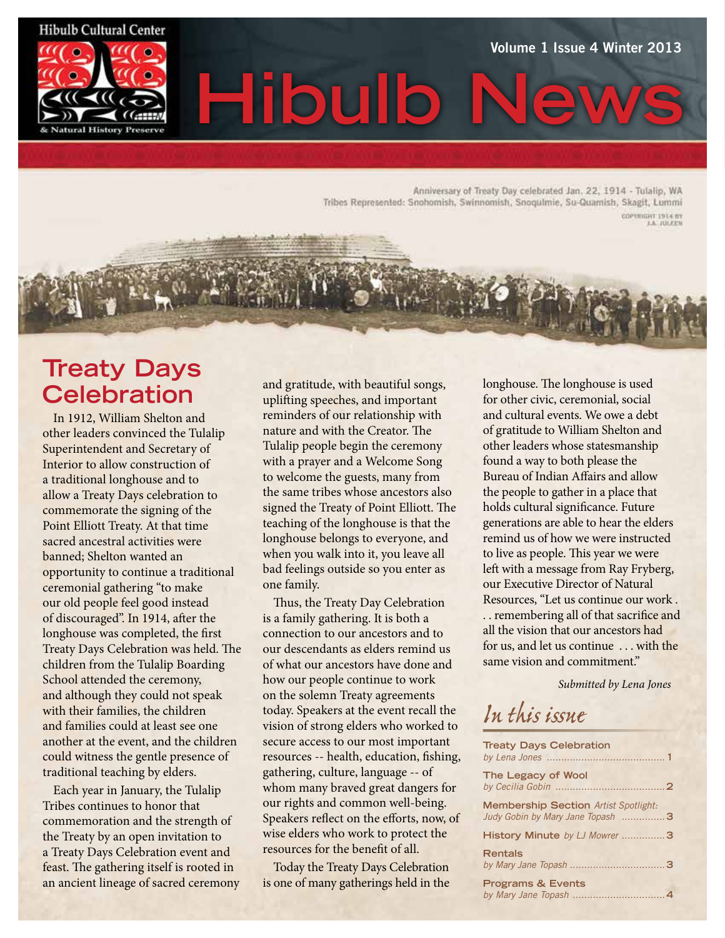#### **Hibulb Cultural Center**



Volume 1 Issue 4 Winter 2013

Anniversary of Treaty Day celebrated Jan. 22, 1914 - Tulalip, WA Tribes Represented: Snohomish, Swinnomish, Snoqulmie, Su-Quamish, Skagit, Lummi COPTIMINT 1914 BY **CA HREEM** 

### **Treaty Days Celebration**

In 1912, William Shelton and other leaders convinced the Tulalip Superintendent and Secretary of Interior to allow construction of a traditional longhouse and to allow a Treaty Days celebration to commemorate the signing of the Point Elliott Treaty. At that time sacred ancestral activities were banned; Shelton wanted an opportunity to continue a traditional ceremonial gathering "to make our old people feel good instead of discouraged". In 1914, after the longhouse was completed, the first Treaty Days Celebration was held. The children from the Tulalip Boarding School attended the ceremony, and although they could not speak with their families, the children and families could at least see one another at the event, and the children could witness the gentle presence of traditional teaching by elders.

Each year in January, the Tulalip Tribes continues to honor that commemoration and the strength of the Treaty by an open invitation to a Treaty Days Celebration event and feast. The gathering itself is rooted in an ancient lineage of sacred ceremony and gratitude, with beautiful songs, uplifting speeches, and important reminders of our relationship with nature and with the Creator. The Tulalip people begin the ceremony with a prayer and a Welcome Song to welcome the guests, many from the same tribes whose ancestors also signed the Treaty of Point Elliott. The teaching of the longhouse is that the longhouse belongs to everyone, and when you walk into it, you leave all bad feelings outside so you enter as one family.

**Hibulb News**

Thus, the Treaty Day Celebration is a family gathering. It is both a connection to our ancestors and to our descendants as elders remind us of what our ancestors have done and how our people continue to work on the solemn Treaty agreements today. Speakers at the event recall the vision of strong elders who worked to secure access to our most important resources -- health, education, fishing, gathering, culture, language -- of whom many braved great dangers for our rights and common well-being. Speakers reflect on the efforts, now, of wise elders who work to protect the resources for the benefit of all.

Today the Treaty Days Celebration is one of many gatherings held in the longhouse. The longhouse is used for other civic, ceremonial, social and cultural events. We owe a debt of gratitude to William Shelton and other leaders whose statesmanship found a way to both please the Bureau of Indian Affairs and allow the people to gather in a place that holds cultural significance. Future generations are able to hear the elders remind us of how we were instructed to live as people. This year we were left with a message from Ray Fryberg, our Executive Director of Natural Resources, "Let us continue our work . . . remembering all of that sacrifice and all the vision that our ancestors had for us, and let us continue . . . with the same vision and commitment."

*Submitted by Lena Jones*

## *In this issue*

| <b>Treaty Days Celebration</b>                                                  |  |
|---------------------------------------------------------------------------------|--|
| The Legacy of Wool                                                              |  |
| <b>Membership Section Artist Spotlight:</b><br>Judy Gobin by Mary Jane Topash 3 |  |
| History Minute by LJ Mowrer 3                                                   |  |
| <b>Rentals</b>                                                                  |  |
| <b>Programs &amp; Events</b>                                                    |  |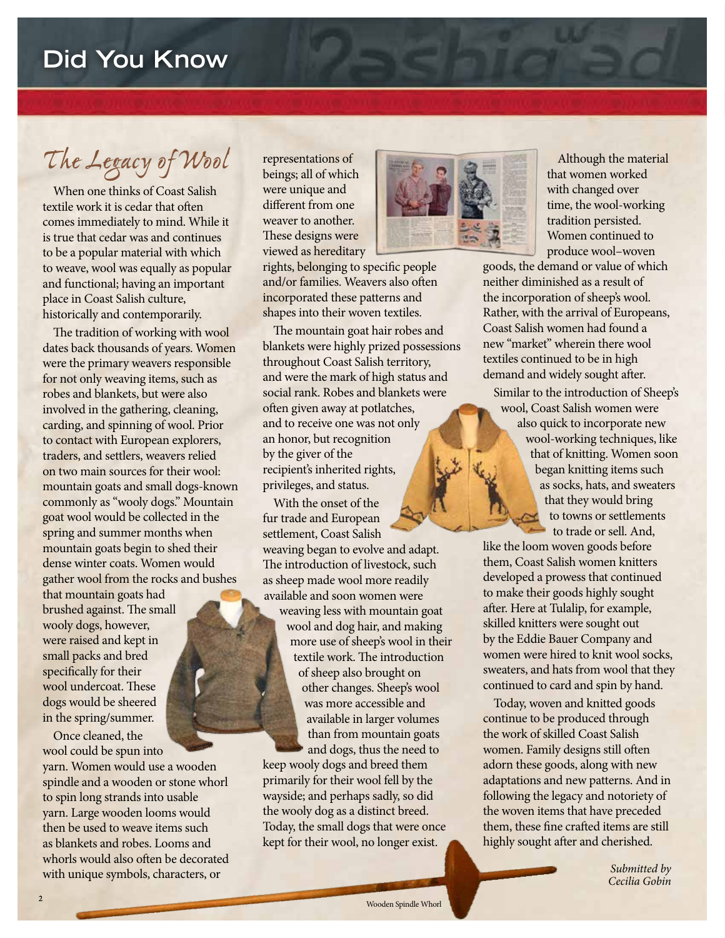# **Did You Know**

*The Legacy of Wool*

When one thinks of Coast Salish textile work it is cedar that often comes immediately to mind. While it is true that cedar was and continues to be a popular material with which to weave, wool was equally as popular and functional; having an important place in Coast Salish culture, historically and contemporarily.

The tradition of working with wool dates back thousands of years. Women were the primary weavers responsible for not only weaving items, such as robes and blankets, but were also involved in the gathering, cleaning, carding, and spinning of wool. Prior to contact with European explorers, traders, and settlers, weavers relied on two main sources for their wool: mountain goats and small dogs-known commonly as "wooly dogs." Mountain goat wool would be collected in the spring and summer months when mountain goats begin to shed their dense winter coats. Women would gather wool from the rocks and bushes

that mountain goats had brushed against. The small wooly dogs, however, were raised and kept in small packs and bred specifically for their wool undercoat. These dogs would be sheered in the spring/summer.

Once cleaned, the wool could be spun into

yarn. Women would use a wooden spindle and a wooden or stone whorl to spin long strands into usable yarn. Large wooden looms would then be used to weave items such as blankets and robes. Looms and whorls would also often be decorated with unique symbols, characters, or

representations of beings; all of which were unique and different from one weaver to another. These designs were viewed as hereditary

rights, belonging to specific people and/or families. Weavers also often incorporated these patterns and shapes into their woven textiles.

The mountain goat hair robes and blankets were highly prized possessions throughout Coast Salish territory, and were the mark of high status and social rank. Robes and blankets were often given away at potlatches, and to receive one was not only an honor, but recognition by the giver of the recipient's inherited rights, privileges, and status.

With the onset of the fur trade and European settlement, Coast Salish weaving began to evolve and adapt.

The introduction of livestock, such as sheep made wool more readily available and soon women were weaving less with mountain goat wool and dog hair, and making more use of sheep's wool in their textile work. The introduction of sheep also brought on other changes. Sheep's wool was more accessible and available in larger volumes than from mountain goats and dogs, thus the need to

keep wooly dogs and breed them primarily for their wool fell by the wayside; and perhaps sadly, so did the wooly dog as a distinct breed. Today, the small dogs that were once kept for their wool, no longer exist.



Although the material that women worked with changed over time, the wool-working tradition persisted. Women continued to produce wool–woven

goods, the demand or value of which neither diminished as a result of the incorporation of sheep's wool. Rather, with the arrival of Europeans, Coast Salish women had found a new "market" wherein there wool textiles continued to be in high demand and widely sought after.

Similar to the introduction of Sheep's wool, Coast Salish women were also quick to incorporate new wool-working techniques, like that of knitting. Women soon began knitting items such as socks, hats, and sweaters that they would bring to towns or settlements to trade or sell. And,

like the loom woven goods before them, Coast Salish women knitters developed a prowess that continued to make their goods highly sought after. Here at Tulalip, for example, skilled knitters were sought out by the Eddie Bauer Company and women were hired to knit wool socks, sweaters, and hats from wool that they continued to card and spin by hand.

Today, woven and knitted goods continue to be produced through the work of skilled Coast Salish women. Family designs still often adorn these goods, along with new adaptations and new patterns. And in following the legacy and notoriety of the woven items that have preceded them, these fine crafted items are still highly sought after and cherished.

> *Submitted by Cecilia Gobin*

Wooden Spindle Whorl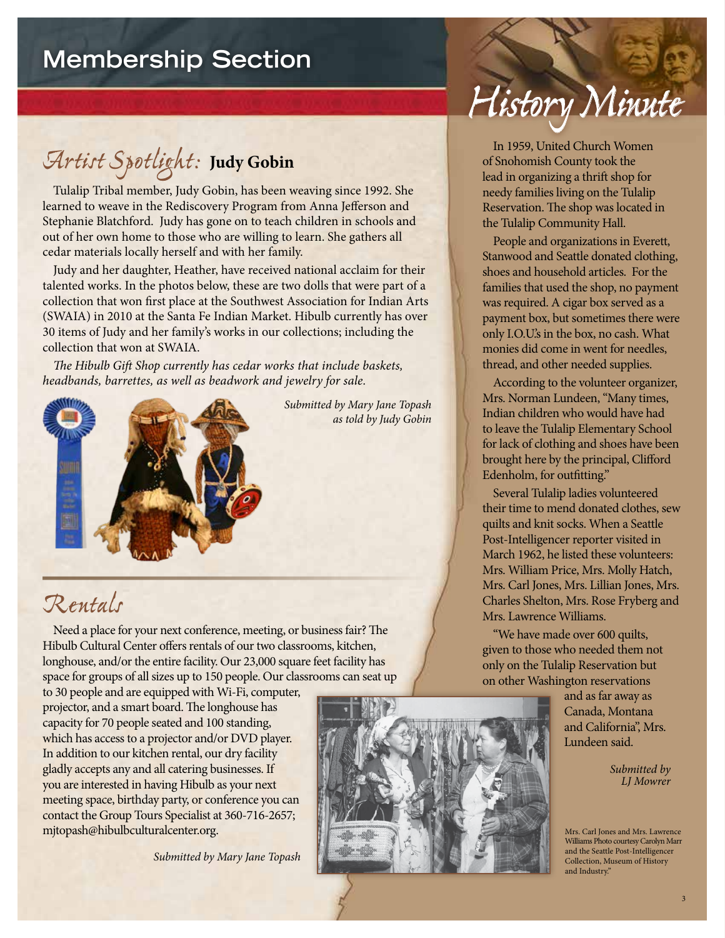# **Membership Section**

# *Artist Spotlight:* **Judy Gobin**

Tulalip Tribal member, Judy Gobin, has been weaving since 1992. She learned to weave in the Rediscovery Program from Anna Jefferson and Stephanie Blatchford. Judy has gone on to teach children in schools and out of her own home to those who are willing to learn. She gathers all cedar materials locally herself and with her family.

Judy and her daughter, Heather, have received national acclaim for their talented works. In the photos below, these are two dolls that were part of a collection that won first place at the Southwest Association for Indian Arts (SWAIA) in 2010 at the Santa Fe Indian Market. Hibulb currently has over 30 items of Judy and her family's works in our collections; including the collection that won at SWAIA.

*The Hibulb Gift Shop currently has cedar works that include baskets, headbands, barrettes, as well as beadwork and jewelry for sale.*



*Submitted by Mary Jane Topash as told by Judy Gobin*

# *Rentals*

Need a place for your next conference, meeting, or business fair? The Hibulb Cultural Center offers rentals of our two classrooms, kitchen, longhouse, and/or the entire facility. Our 23,000 square feet facility has space for groups of all sizes up to 150 people. Our classrooms can seat up

to 30 people and are equipped with Wi-Fi, computer, projector, and a smart board. The longhouse has capacity for 70 people seated and 100 standing, which has access to a projector and/or DVD player. In addition to our kitchen rental, our dry facility gladly accepts any and all catering businesses. If you are interested in having Hibulb as your next meeting space, birthday party, or conference you can contact the Group Tours Specialist at 360-716-2657; mjtopash@hibulbculturalcenter.org.

*Submitted by Mary Jane Topash*



In 1959, United Church Women of Snohomish County took the lead in organizing a thrift shop for needy families living on the Tulalip Reservation. The shop was located in the Tulalip Community Hall.

People and organizations in Everett, Stanwood and Seattle donated clothing, shoes and household articles. For the families that used the shop, no payment was required. A cigar box served as a payment box, but sometimes there were only I.O.U.'s in the box, no cash. What monies did come in went for needles, thread, and other needed supplies.

According to the volunteer organizer, Mrs. Norman Lundeen, "Many times, Indian children who would have had to leave the Tulalip Elementary School for lack of clothing and shoes have been brought here by the principal, Clifford Edenholm, for outfitting."

Several Tulalip ladies volunteered their time to mend donated clothes, sew quilts and knit socks. When a Seattle Post-Intelligencer reporter visited in March 1962, he listed these volunteers: Mrs. William Price, Mrs. Molly Hatch, Mrs. Carl Jones, Mrs. Lillian Jones, Mrs. Charles Shelton, Mrs. Rose Fryberg and Mrs. Lawrence Williams.

"We have made over 600 quilts, given to those who needed them not only on the Tulalip Reservation but on other Washington reservations

> and as far away as Canada, Montana and California", Mrs. Lundeen said.

> > *Submitted by LJ Mowrer*

Mrs. Carl Jones and Mrs. Lawrence Williams Photo courtesy Carolyn Marr and the Seattle Post-Intelligencer Collection, Museum of History and Industry."